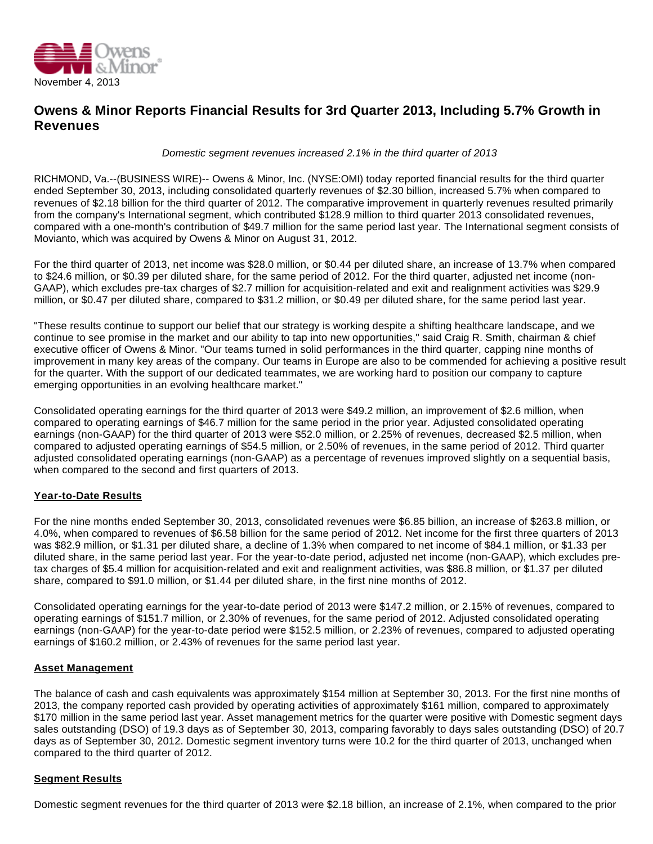

## **Owens & Minor Reports Financial Results for 3rd Quarter 2013, Including 5.7% Growth in Revenues**

Domestic segment revenues increased 2.1% in the third quarter of 2013

RICHMOND, Va.--(BUSINESS WIRE)-- Owens & Minor, Inc. (NYSE:OMI) today reported financial results for the third quarter ended September 30, 2013, including consolidated quarterly revenues of \$2.30 billion, increased 5.7% when compared to revenues of \$2.18 billion for the third quarter of 2012. The comparative improvement in quarterly revenues resulted primarily from the company's International segment, which contributed \$128.9 million to third quarter 2013 consolidated revenues, compared with a one-month's contribution of \$49.7 million for the same period last year. The International segment consists of Movianto, which was acquired by Owens & Minor on August 31, 2012.

For the third quarter of 2013, net income was \$28.0 million, or \$0.44 per diluted share, an increase of 13.7% when compared to \$24.6 million, or \$0.39 per diluted share, for the same period of 2012. For the third quarter, adjusted net income (non-GAAP), which excludes pre-tax charges of \$2.7 million for acquisition-related and exit and realignment activities was \$29.9 million, or \$0.47 per diluted share, compared to \$31.2 million, or \$0.49 per diluted share, for the same period last year.

"These results continue to support our belief that our strategy is working despite a shifting healthcare landscape, and we continue to see promise in the market and our ability to tap into new opportunities," said Craig R. Smith, chairman & chief executive officer of Owens & Minor. "Our teams turned in solid performances in the third quarter, capping nine months of improvement in many key areas of the company. Our teams in Europe are also to be commended for achieving a positive result for the quarter. With the support of our dedicated teammates, we are working hard to position our company to capture emerging opportunities in an evolving healthcare market."

Consolidated operating earnings for the third quarter of 2013 were \$49.2 million, an improvement of \$2.6 million, when compared to operating earnings of \$46.7 million for the same period in the prior year. Adjusted consolidated operating earnings (non-GAAP) for the third quarter of 2013 were \$52.0 million, or 2.25% of revenues, decreased \$2.5 million, when compared to adjusted operating earnings of \$54.5 million, or 2.50% of revenues, in the same period of 2012. Third quarter adjusted consolidated operating earnings (non-GAAP) as a percentage of revenues improved slightly on a sequential basis, when compared to the second and first quarters of 2013.

## **Year-to-Date Results**

For the nine months ended September 30, 2013, consolidated revenues were \$6.85 billion, an increase of \$263.8 million, or 4.0%, when compared to revenues of \$6.58 billion for the same period of 2012. Net income for the first three quarters of 2013 was \$82.9 million, or \$1.31 per diluted share, a decline of 1.3% when compared to net income of \$84.1 million, or \$1.33 per diluted share, in the same period last year. For the year-to-date period, adjusted net income (non-GAAP), which excludes pretax charges of \$5.4 million for acquisition-related and exit and realignment activities, was \$86.8 million, or \$1.37 per diluted share, compared to \$91.0 million, or \$1.44 per diluted share, in the first nine months of 2012.

Consolidated operating earnings for the year-to-date period of 2013 were \$147.2 million, or 2.15% of revenues, compared to operating earnings of \$151.7 million, or 2.30% of revenues, for the same period of 2012. Adjusted consolidated operating earnings (non-GAAP) for the year-to-date period were \$152.5 million, or 2.23% of revenues, compared to adjusted operating earnings of \$160.2 million, or 2.43% of revenues for the same period last year.

#### **Asset Management**

The balance of cash and cash equivalents was approximately \$154 million at September 30, 2013. For the first nine months of 2013, the company reported cash provided by operating activities of approximately \$161 million, compared to approximately \$170 million in the same period last year. Asset management metrics for the quarter were positive with Domestic segment days sales outstanding (DSO) of 19.3 days as of September 30, 2013, comparing favorably to days sales outstanding (DSO) of 20.7 days as of September 30, 2012. Domestic segment inventory turns were 10.2 for the third quarter of 2013, unchanged when compared to the third quarter of 2012.

#### **Segment Results**

Domestic segment revenues for the third quarter of 2013 were \$2.18 billion, an increase of 2.1%, when compared to the prior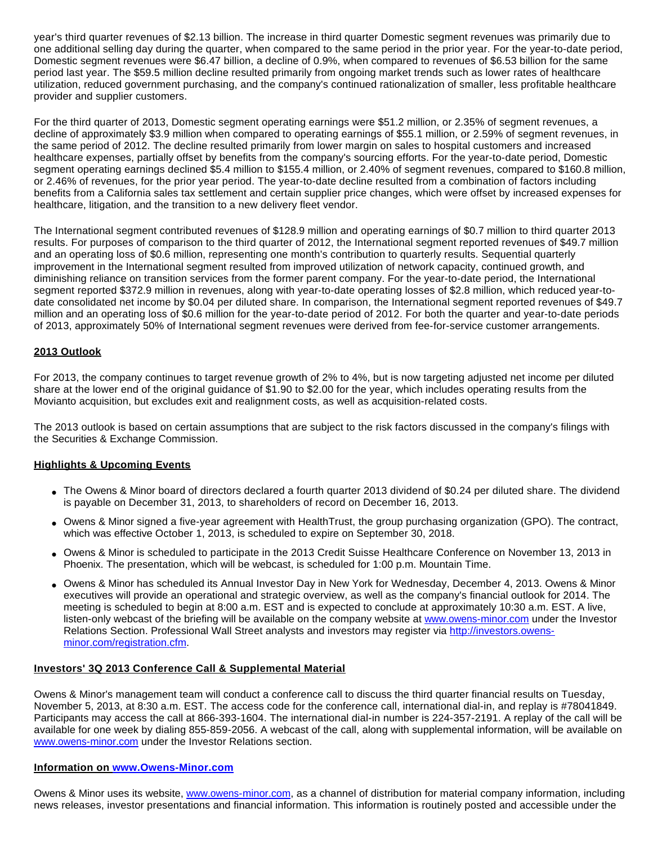year's third quarter revenues of \$2.13 billion. The increase in third quarter Domestic segment revenues was primarily due to one additional selling day during the quarter, when compared to the same period in the prior year. For the year-to-date period, Domestic segment revenues were \$6.47 billion, a decline of 0.9%, when compared to revenues of \$6.53 billion for the same period last year. The \$59.5 million decline resulted primarily from ongoing market trends such as lower rates of healthcare utilization, reduced government purchasing, and the company's continued rationalization of smaller, less profitable healthcare provider and supplier customers.

For the third quarter of 2013, Domestic segment operating earnings were \$51.2 million, or 2.35% of segment revenues, a decline of approximately \$3.9 million when compared to operating earnings of \$55.1 million, or 2.59% of segment revenues, in the same period of 2012. The decline resulted primarily from lower margin on sales to hospital customers and increased healthcare expenses, partially offset by benefits from the company's sourcing efforts. For the year-to-date period, Domestic segment operating earnings declined \$5.4 million to \$155.4 million, or 2.40% of segment revenues, compared to \$160.8 million, or 2.46% of revenues, for the prior year period. The year-to-date decline resulted from a combination of factors including benefits from a California sales tax settlement and certain supplier price changes, which were offset by increased expenses for healthcare, litigation, and the transition to a new delivery fleet vendor.

The International segment contributed revenues of \$128.9 million and operating earnings of \$0.7 million to third quarter 2013 results. For purposes of comparison to the third quarter of 2012, the International segment reported revenues of \$49.7 million and an operating loss of \$0.6 million, representing one month's contribution to quarterly results. Sequential quarterly improvement in the International segment resulted from improved utilization of network capacity, continued growth, and diminishing reliance on transition services from the former parent company. For the year-to-date period, the International segment reported \$372.9 million in revenues, along with year-to-date operating losses of \$2.8 million, which reduced year-todate consolidated net income by \$0.04 per diluted share. In comparison, the International segment reported revenues of \$49.7 million and an operating loss of \$0.6 million for the year-to-date period of 2012. For both the quarter and year-to-date periods of 2013, approximately 50% of International segment revenues were derived from fee-for-service customer arrangements.

## **2013 Outlook**

For 2013, the company continues to target revenue growth of 2% to 4%, but is now targeting adjusted net income per diluted share at the lower end of the original guidance of \$1.90 to \$2.00 for the year, which includes operating results from the Movianto acquisition, but excludes exit and realignment costs, as well as acquisition-related costs.

The 2013 outlook is based on certain assumptions that are subject to the risk factors discussed in the company's filings with the Securities & Exchange Commission.

#### **Highlights & Upcoming Events**

- The Owens & Minor board of directors declared a fourth quarter 2013 dividend of \$0.24 per diluted share. The dividend is payable on December 31, 2013, to shareholders of record on December 16, 2013.
- Owens & Minor signed a five-year agreement with HealthTrust, the group purchasing organization (GPO). The contract, which was effective October 1, 2013, is scheduled to expire on September 30, 2018.
- Owens & Minor is scheduled to participate in the 2013 Credit Suisse Healthcare Conference on November 13, 2013 in Phoenix. The presentation, which will be webcast, is scheduled for 1:00 p.m. Mountain Time.
- Owens & Minor has scheduled its Annual Investor Day in New York for Wednesday, December 4, 2013. Owens & Minor executives will provide an operational and strategic overview, as well as the company's financial outlook for 2014. The meeting is scheduled to begin at 8:00 a.m. EST and is expected to conclude at approximately 10:30 a.m. EST. A live, listen-only webcast of the briefing will be available on the company website at [www.owens-minor.com](http://cts.businesswire.com/ct/CT?id=smartlink&url=http%3A%2F%2Fwww.owens-minor.com&esheet=50743169&newsitemid=20131104006608&lan=en-US&anchor=www.owens-minor.com&index=1&md5=bcfe073441bb53db36934b4be61dedc8) under the Investor Relations Section. Professional Wall Street analysts and investors may register via [http://investors.owens](http://cts.businesswire.com/ct/CT?id=smartlink&url=http%3A%2F%2Finvestors.owens-minor.com%2Fregistration.cfm&esheet=50743169&newsitemid=20131104006608&lan=en-US&anchor=http%3A%2F%2Finvestors.owens-minor.com%2Fregistration.cfm&index=2&md5=7bcbcd4004debd6eaa53d93dabd3eb70)[minor.com/registration.cfm.](http://cts.businesswire.com/ct/CT?id=smartlink&url=http%3A%2F%2Finvestors.owens-minor.com%2Fregistration.cfm&esheet=50743169&newsitemid=20131104006608&lan=en-US&anchor=http%3A%2F%2Finvestors.owens-minor.com%2Fregistration.cfm&index=2&md5=7bcbcd4004debd6eaa53d93dabd3eb70)

#### **Investors' 3Q 2013 Conference Call & Supplemental Material**

Owens & Minor's management team will conduct a conference call to discuss the third quarter financial results on Tuesday, November 5, 2013, at 8:30 a.m. EST. The access code for the conference call, international dial-in, and replay is #78041849. Participants may access the call at 866-393-1604. The international dial-in number is 224-357-2191. A replay of the call will be available for one week by dialing 855-859-2056. A webcast of the call, along with supplemental information, will be available on [www.owens-minor.com](http://cts.businesswire.com/ct/CT?id=smartlink&url=http%3A%2F%2Fwww.owens-minor.com&esheet=50743169&newsitemid=20131104006608&lan=en-US&anchor=www.owens-minor.com&index=3&md5=4328a4ae9c9c7f152fe84210a952e861) under the Investor Relations section.

#### **Information on [www.Owens-Minor.com](http://cts.businesswire.com/ct/CT?id=smartlink&url=http%3A%2F%2Fwww.Owens-Minor.com&esheet=50743169&newsitemid=20131104006608&lan=en-US&anchor=www.Owens-Minor.com&index=4&md5=6774dfde18a558ab397198636011d88d)**

Owens & Minor uses its website, [www.owens-minor.com,](http://cts.businesswire.com/ct/CT?id=smartlink&url=http%3A%2F%2Fwww.owens-minor.com&esheet=50743169&newsitemid=20131104006608&lan=en-US&anchor=www.owens-minor.com&index=5&md5=1c63a01c0e6fffe5e8db1af1f54fcf70) as a channel of distribution for material company information, including news releases, investor presentations and financial information. This information is routinely posted and accessible under the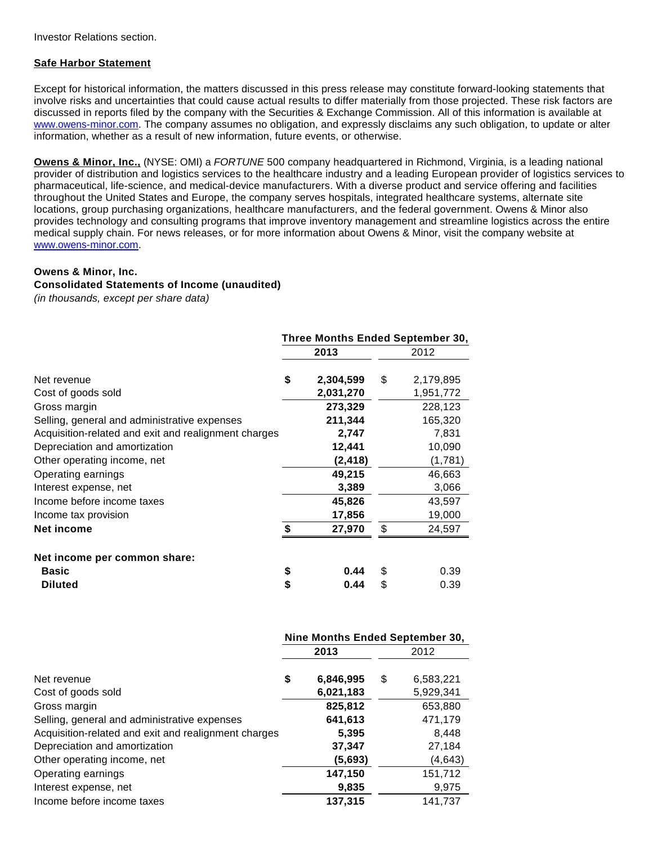Investor Relations section.

#### **Safe Harbor Statement**

Except for historical information, the matters discussed in this press release may constitute forward-looking statements that involve risks and uncertainties that could cause actual results to differ materially from those projected. These risk factors are discussed in reports filed by the company with the Securities & Exchange Commission. All of this information is available at [www.owens-minor.com.](http://cts.businesswire.com/ct/CT?id=smartlink&url=http%3A%2F%2Fwww.owens-minor.com&esheet=50743169&newsitemid=20131104006608&lan=en-US&anchor=www.owens-minor.com&index=6&md5=7eb00601aa127aad3561127bacf2dd7a) The company assumes no obligation, and expressly disclaims any such obligation, to update or alter information, whether as a result of new information, future events, or otherwise.

**Owens & Minor, Inc.,** (NYSE: OMI) a FORTUNE 500 company headquartered in Richmond, Virginia, is a leading national provider of distribution and logistics services to the healthcare industry and a leading European provider of logistics services to pharmaceutical, life-science, and medical-device manufacturers. With a diverse product and service offering and facilities throughout the United States and Europe, the company serves hospitals, integrated healthcare systems, alternate site locations, group purchasing organizations, healthcare manufacturers, and the federal government. Owens & Minor also provides technology and consulting programs that improve inventory management and streamline logistics across the entire medical supply chain. For news releases, or for more information about Owens & Minor, visit the company website at [www.owens-minor.com.](http://cts.businesswire.com/ct/CT?id=smartlink&url=http%3A%2F%2Fwww.owens-minor.com&esheet=50743169&newsitemid=20131104006608&lan=en-US&anchor=www.owens-minor.com&index=7&md5=0481afc9167122dcfda43cb886e4c62b)

#### **Owens & Minor, Inc.**

#### **Consolidated Statements of Income (unaudited)**

(in thousands, except per share data)

|                                                      | Three Months Ended September 30, |           |    |           |  |  |  |
|------------------------------------------------------|----------------------------------|-----------|----|-----------|--|--|--|
|                                                      |                                  | 2013      |    | 2012      |  |  |  |
| Net revenue                                          | \$                               | 2,304,599 | \$ | 2,179,895 |  |  |  |
| Cost of goods sold                                   |                                  | 2,031,270 |    | 1,951,772 |  |  |  |
| Gross margin                                         |                                  | 273,329   |    | 228,123   |  |  |  |
| Selling, general and administrative expenses         |                                  | 211,344   |    | 165,320   |  |  |  |
| Acquisition-related and exit and realignment charges |                                  | 2,747     |    | 7,831     |  |  |  |
| Depreciation and amortization                        |                                  | 12,441    |    | 10,090    |  |  |  |
| Other operating income, net                          |                                  | (2, 418)  |    | (1,781)   |  |  |  |
| Operating earnings                                   |                                  | 49,215    |    | 46,663    |  |  |  |
| Interest expense, net                                |                                  | 3,389     |    | 3,066     |  |  |  |
| Income before income taxes                           |                                  | 45,826    |    | 43,597    |  |  |  |
| Income tax provision                                 |                                  | 17,856    |    | 19,000    |  |  |  |
| Net income                                           | \$                               | 27,970    | \$ | 24,597    |  |  |  |
| Net income per common share:                         |                                  |           |    |           |  |  |  |
| <b>Basic</b>                                         | \$                               | 0.44      | \$ | 0.39      |  |  |  |
| <b>Diluted</b>                                       | \$                               | 0.44      | \$ | 0.39      |  |  |  |

|                                                      | Nine Months Ended September 30, |    |           |  |  |
|------------------------------------------------------|---------------------------------|----|-----------|--|--|
|                                                      | 2012<br>2013                    |    |           |  |  |
| Net revenue                                          | \$<br>6,846,995                 | \$ | 6,583,221 |  |  |
| Cost of goods sold                                   | 6,021,183                       |    | 5,929,341 |  |  |
| Gross margin                                         | 825,812                         |    | 653,880   |  |  |
| Selling, general and administrative expenses         | 641,613                         |    | 471,179   |  |  |
| Acquisition-related and exit and realignment charges | 5,395                           |    | 8.448     |  |  |
| Depreciation and amortization                        | 37,347                          |    | 27,184    |  |  |
| Other operating income, net                          | (5,693)                         |    | (4,643)   |  |  |
| Operating earnings                                   | 147,150                         |    | 151,712   |  |  |
| Interest expense, net                                | 9,835                           |    | 9,975     |  |  |
| Income before income taxes                           | 137,315                         |    | 141,737   |  |  |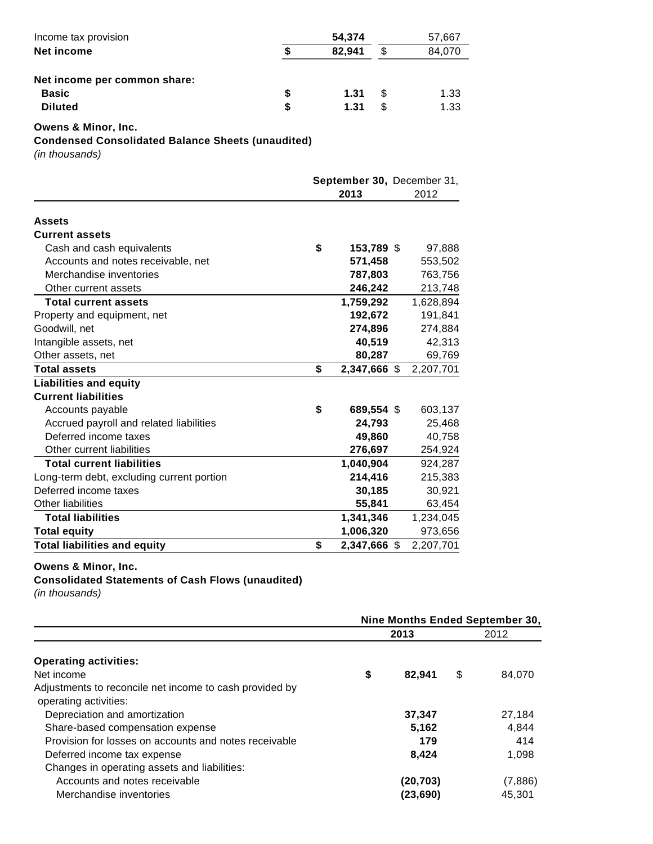| Income tax provision         | 54,374 |   | 57,667 |
|------------------------------|--------|---|--------|
| Net income                   | 82.941 |   | 84.070 |
| Net income per common share: |        |   |        |
| <b>Basic</b>                 | 1.31   | S | 1.33   |
| <b>Diluted</b>               | 1.31   | S | 1.33   |

### **Owens & Minor, Inc.**

**Condensed Consolidated Balance Sheets (unaudited)**

(in thousands)

|                                           | September 30, December 31,<br>2013 | 2012      |
|-------------------------------------------|------------------------------------|-----------|
| <b>Assets</b>                             |                                    |           |
| <b>Current assets</b>                     |                                    |           |
| Cash and cash equivalents                 | \$<br>153,789 \$                   | 97,888    |
| Accounts and notes receivable, net        | 571,458                            | 553,502   |
| Merchandise inventories                   | 787,803                            | 763,756   |
| Other current assets                      | 246,242                            | 213,748   |
| <b>Total current assets</b>               | 1,759,292                          | 1,628,894 |
| Property and equipment, net               | 192,672                            | 191,841   |
| Goodwill, net                             | 274,896                            | 274,884   |
| Intangible assets, net                    | 40,519                             | 42,313    |
| Other assets, net                         | 80,287                             | 69,769    |
| <b>Total assets</b>                       | \$<br>2,347,666 \$                 | 2,207,701 |
| <b>Liabilities and equity</b>             |                                    |           |
| <b>Current liabilities</b>                |                                    |           |
| Accounts payable                          | \$<br>689,554 \$                   | 603,137   |
| Accrued payroll and related liabilities   | 24,793                             | 25,468    |
| Deferred income taxes                     | 49,860                             | 40,758    |
| Other current liabilities                 | 276,697                            | 254,924   |
| <b>Total current liabilities</b>          | 1,040,904                          | 924,287   |
| Long-term debt, excluding current portion | 214,416                            | 215,383   |
| Deferred income taxes                     | 30,185                             | 30,921    |
| Other liabilities                         | 55,841                             | 63,454    |
| <b>Total liabilities</b>                  | 1,341,346                          | 1,234,045 |
| <b>Total equity</b>                       | 1,006,320                          | 973,656   |
| <b>Total liabilities and equity</b>       | \$<br>2,347,666 \$                 | 2,207,701 |

#### **Owens & Minor, Inc.**

## **Consolidated Statements of Cash Flows (unaudited)**

(in thousands)

|                                                         |              | Nine Months Ended September 30, |
|---------------------------------------------------------|--------------|---------------------------------|
|                                                         | 2013         | 2012                            |
| <b>Operating activities:</b>                            |              |                                 |
| Net income                                              | \$<br>82,941 | \$<br>84,070                    |
| Adjustments to reconcile net income to cash provided by |              |                                 |
| operating activities:                                   |              |                                 |
| Depreciation and amortization                           | 37,347       | 27,184                          |
| Share-based compensation expense                        | 5.162        | 4,844                           |
| Provision for losses on accounts and notes receivable   | 179          | 414                             |
| Deferred income tax expense                             | 8,424        | 1,098                           |
| Changes in operating assets and liabilities:            |              |                                 |
| Accounts and notes receivable                           | (20,703)     | (7,886)                         |
| Merchandise inventories                                 | (23.690)     | 45.301                          |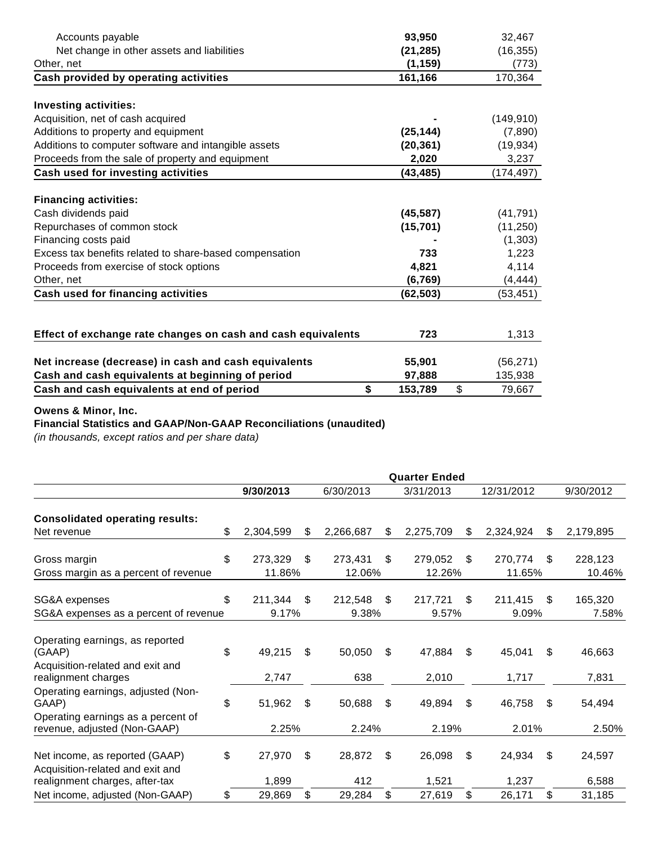| Accounts payable                                             | 93,950        | 32,467       |
|--------------------------------------------------------------|---------------|--------------|
| Net change in other assets and liabilities                   | (21, 285)     | (16, 355)    |
| Other, net                                                   | (1, 159)      | (773)        |
| Cash provided by operating activities                        | 161,166       | 170,364      |
| <b>Investing activities:</b>                                 |               |              |
| Acquisition, net of cash acquired                            |               | (149, 910)   |
| Additions to property and equipment                          | (25, 144)     | (7,890)      |
| Additions to computer software and intangible assets         | (20, 361)     | (19, 934)    |
| Proceeds from the sale of property and equipment             | 2,020         | 3,237        |
| Cash used for investing activities                           | (43, 485)     | (174, 497)   |
|                                                              |               |              |
| <b>Financing activities:</b>                                 |               |              |
| Cash dividends paid                                          | (45, 587)     | (41, 791)    |
| Repurchases of common stock                                  | (15, 701)     | (11, 250)    |
| Financing costs paid                                         |               | (1,303)      |
| Excess tax benefits related to share-based compensation      | 733           | 1,223        |
| Proceeds from exercise of stock options                      | 4,821         | 4,114        |
| Other, net                                                   | (6, 769)      | (4, 444)     |
| Cash used for financing activities                           | (62, 503)     | (53, 451)    |
|                                                              |               |              |
| Effect of exchange rate changes on cash and cash equivalents | 723           | 1,313        |
| Net increase (decrease) in cash and cash equivalents         | 55,901        | (56, 271)    |
| Cash and cash equivalents at beginning of period             | 97,888        | 135,938      |
| Cash and cash equivalents at end of period                   | \$<br>153,789 | \$<br>79,667 |

## **Owens & Minor, Inc.**

# **Financial Statistics and GAAP/Non-GAAP Reconciliations (unaudited)**

(in thousands, except ratios and per share data)

|                                                                    | <b>Quarter Ended</b> |     |           |    |           |    |            |    |           |
|--------------------------------------------------------------------|----------------------|-----|-----------|----|-----------|----|------------|----|-----------|
|                                                                    | 9/30/2013            |     | 6/30/2013 |    | 3/31/2013 |    | 12/31/2012 |    | 9/30/2012 |
| <b>Consolidated operating results:</b>                             |                      |     |           |    |           |    |            |    |           |
| Net revenue                                                        | \$<br>2,304,599      | S   | 2,266,687 | \$ | 2,275,709 | \$ | 2,324,924  | S  | 2,179,895 |
| Gross margin                                                       | \$<br>273,329        | \$  | 273,431   | \$ | 279,052   | \$ | 270,774    | \$ | 228,123   |
| Gross margin as a percent of revenue                               | 11.86%               |     | 12.06%    |    | 12.26%    |    | 11.65%     |    | 10.46%    |
| SG&A expenses                                                      | \$<br>211,344        | \$. | 212,548   | \$ | 217,721   | \$ | 211,415    | S. | 165,320   |
| SG&A expenses as a percent of revenue                              | 9.17%                |     | 9.38%     |    | 9.57%     |    | 9.09%      |    | 7.58%     |
| Operating earnings, as reported<br>(GAAP)                          | \$<br>49,215         | \$  | 50,050    | \$ | 47,884    | S  | 45,041     | S  | 46,663    |
| Acquisition-related and exit and<br>realignment charges            | 2,747                |     | 638       |    | 2,010     |    | 1,717      |    | 7,831     |
| Operating earnings, adjusted (Non-<br>GAAP)                        | \$<br>51,962         | \$  | 50,688    | \$ | 49,894    | \$ | 46,758     | \$ | 54,494    |
| Operating earnings as a percent of<br>revenue, adjusted (Non-GAAP) | 2.25%                |     | 2.24%     |    | 2.19%     |    | 2.01%      |    | 2.50%     |
| Net income, as reported (GAAP)<br>Acquisition-related and exit and | \$<br>27,970         | \$  | 28,872    | \$ | 26,098    | \$ | 24,934     | \$ | 24,597    |
| realignment charges, after-tax                                     | 1,899                |     | 412       |    | 1,521     |    | 1,237      |    | 6,588     |
| Net income, adjusted (Non-GAAP)                                    | \$<br>29,869         | \$  | 29,284    | \$ | 27,619    | \$ | 26,171     | \$ | 31,185    |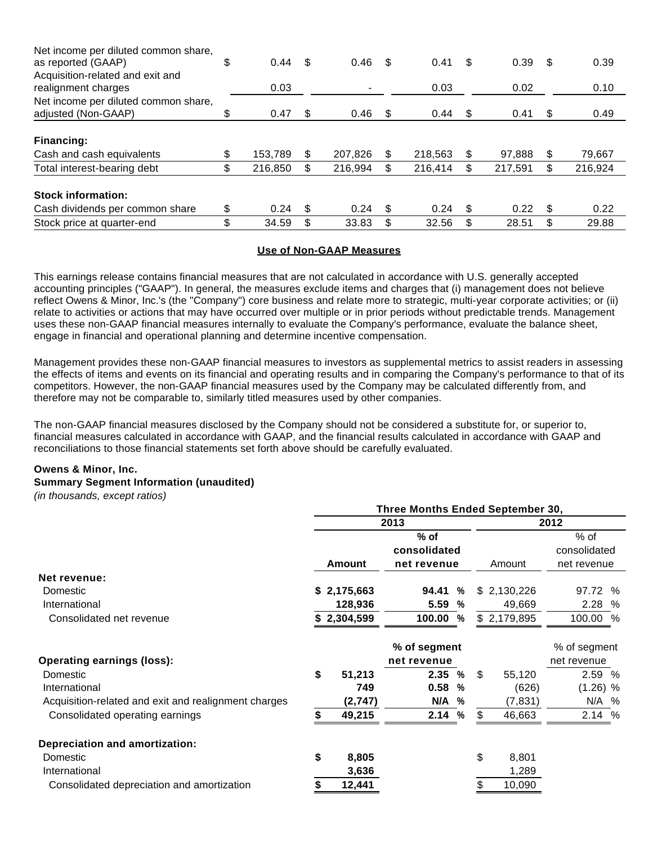| Net income per diluted common share,<br>as reported (GAAP)  | \$<br>0.44    | \$ | 0.46    | -\$  | 0.41    | \$   | 0.39    | \$. | 0.39    |
|-------------------------------------------------------------|---------------|----|---------|------|---------|------|---------|-----|---------|
| Acquisition-related and exit and<br>realignment charges     | 0.03          |    |         |      | 0.03    |      | 0.02    |     | 0.10    |
| Net income per diluted common share,<br>adjusted (Non-GAAP) | \$<br>0.47    | S  | 0.46    | - \$ | 0.44    | - \$ | 0.41    | æ.  | 0.49    |
| Financing:                                                  |               |    |         |      |         |      |         |     |         |
| Cash and cash equivalents                                   | \$<br>153.789 | \$ | 207.826 | \$.  | 218,563 |      | 97.888  | Ж   | 79,667  |
| Total interest-bearing debt                                 | \$<br>216,850 | \$ | 216.994 | \$.  | 216.414 |      | 217.591 |     | 216,924 |
| <b>Stock information:</b>                                   |               |    |         |      |         |      |         |     |         |
| Cash dividends per common share                             | \$<br>0.24    | S  | 0.24    | -S   | 0.24    | \$.  | 0.22    | S.  | 0.22    |
| Stock price at quarter-end                                  | \$<br>34.59   | \$ | 33.83   | \$.  | 32.56   |      | 28.51   | \$  | 29.88   |

#### **Use of Non-GAAP Measures**

This earnings release contains financial measures that are not calculated in accordance with U.S. generally accepted accounting principles ("GAAP"). In general, the measures exclude items and charges that (i) management does not believe reflect Owens & Minor, Inc.'s (the "Company") core business and relate more to strategic, multi-year corporate activities; or (ii) relate to activities or actions that may have occurred over multiple or in prior periods without predictable trends. Management uses these non-GAAP financial measures internally to evaluate the Company's performance, evaluate the balance sheet, engage in financial and operational planning and determine incentive compensation.

Management provides these non-GAAP financial measures to investors as supplemental metrics to assist readers in assessing the effects of items and events on its financial and operating results and in comparing the Company's performance to that of its competitors. However, the non-GAAP financial measures used by the Company may be calculated differently from, and therefore may not be comparable to, similarly titled measures used by other companies.

The non-GAAP financial measures disclosed by the Company should not be considered a substitute for, or superior to, financial measures calculated in accordance with GAAP, and the financial results calculated in accordance with GAAP and reconciliations to those financial statements set forth above should be carefully evaluated.

## **Owens & Minor, Inc. Summary Segment Information (unaudited)**

(in thousands, except ratios)

|                                                      | Three Months Ended September 30, |             |              |        |    |             |              |  |  |
|------------------------------------------------------|----------------------------------|-------------|--------------|--------|----|-------------|--------------|--|--|
|                                                      |                                  |             | 2013         |        |    |             | 2012         |  |  |
|                                                      | $%$ of                           |             |              |        |    |             | % of         |  |  |
|                                                      |                                  |             | consolidated |        |    |             | consolidated |  |  |
|                                                      | <b>Amount</b>                    |             | net revenue  | Amount |    | net revenue |              |  |  |
| Net revenue:                                         |                                  |             |              |        |    |             |              |  |  |
| Domestic                                             |                                  | \$2,175,663 | 94.41        | %      |    | \$2,130,226 | 97.72 %      |  |  |
| International                                        |                                  | 128,936     | 5.59         | %      |    | 49,669      | 2.28 %       |  |  |
| Consolidated net revenue                             |                                  | 2,304,599   | 100.00 %     |        |    | \$2,179,895 | 100.00 %     |  |  |
|                                                      |                                  |             | % of segment |        |    |             | % of segment |  |  |
| <b>Operating earnings (loss):</b>                    |                                  |             | net revenue  |        |    |             | net revenue  |  |  |
| Domestic                                             | \$                               | 51,213      | 2.35%        |        | \$ | 55,120      | 2.59 %       |  |  |
| International                                        |                                  | 749         | 0.58         | %      |    | (626)       | $(1.26)$ %   |  |  |
| Acquisition-related and exit and realignment charges |                                  | (2,747)     | N/A          | %      |    | (7,831)     | N/A %        |  |  |
| Consolidated operating earnings                      |                                  | 49,215      | 2.14%        |        | \$ | 46,663      | 2.14%        |  |  |
| <b>Depreciation and amortization:</b>                |                                  |             |              |        |    |             |              |  |  |
| Domestic                                             | \$                               | 8,805       |              |        | \$ | 8,801       |              |  |  |
| International                                        |                                  | 3,636       |              |        |    | 1,289       |              |  |  |
| Consolidated depreciation and amortization           |                                  | 12,441      |              |        | \$ | 10,090      |              |  |  |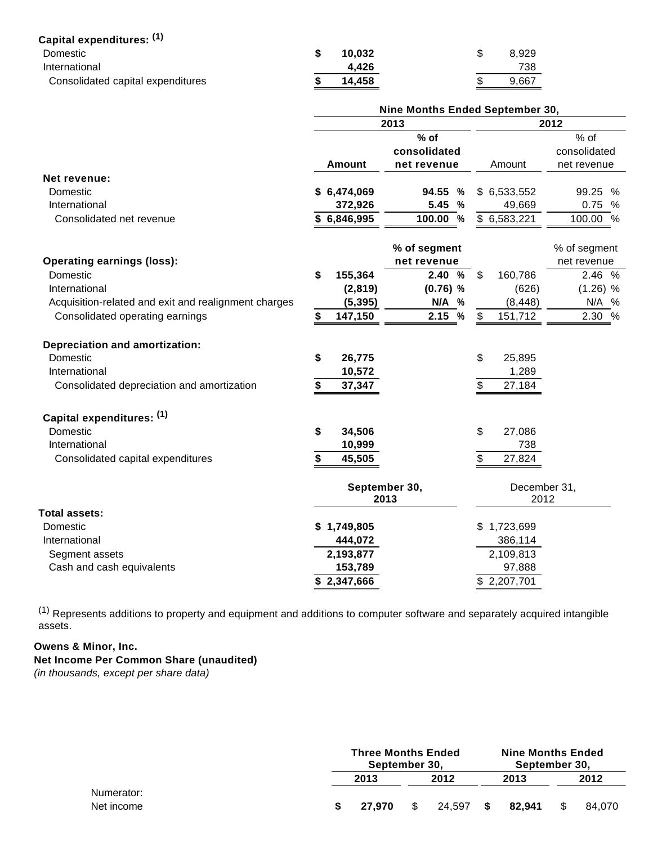| Capital expenditures: (1)         |        |       |
|-----------------------------------|--------|-------|
| Domestic                          | 10.032 | 8.929 |
| International                     | 4.426  | 738   |
| Consolidated capital expenditures | 14.458 | 9,667 |

|                                                      | Nine Months Ended September 30, |               |               |              |  |  |  |  |
|------------------------------------------------------|---------------------------------|---------------|---------------|--------------|--|--|--|--|
|                                                      |                                 | 2012          |               |              |  |  |  |  |
|                                                      |                                 | $%$ of        |               | % of         |  |  |  |  |
|                                                      |                                 | consolidated  |               | consolidated |  |  |  |  |
|                                                      | <b>Amount</b>                   | net revenue   | Amount        | net revenue  |  |  |  |  |
| Net revenue:                                         |                                 |               |               |              |  |  |  |  |
| Domestic                                             | \$6,474,069                     | %<br>94.55    | \$6,533,552   | 99.25 %      |  |  |  |  |
| International                                        | 372,926                         | 5.45 %        | 49,669        | 0.75 %       |  |  |  |  |
| Consolidated net revenue                             | \$6,846,995                     | 100.00 %      | \$6,583,221   | 100.00 %     |  |  |  |  |
|                                                      |                                 | % of segment  |               | % of segment |  |  |  |  |
| <b>Operating earnings (loss):</b>                    |                                 | net revenue   |               | net revenue  |  |  |  |  |
| Domestic                                             | \$<br>155,364                   | 2.40<br>%     | \$<br>160,786 | 2.46 %       |  |  |  |  |
| International                                        | (2,819)                         | $(0.76)$ %    | (626)         | $(1.26)$ %   |  |  |  |  |
| Acquisition-related and exit and realignment charges | (5, 395)                        | N/A %         | (8, 448)      | N/A %        |  |  |  |  |
| Consolidated operating earnings                      | 147,150                         | 2.15 %        | \$<br>151,712 | 2.30 %       |  |  |  |  |
| <b>Depreciation and amortization:</b>                |                                 |               |               |              |  |  |  |  |
| Domestic                                             | \$<br>26,775                    |               | \$<br>25,895  |              |  |  |  |  |
| International                                        | 10,572                          |               | 1,289         |              |  |  |  |  |
| Consolidated depreciation and amortization           | 37,347<br>\$                    |               | \$<br>27,184  |              |  |  |  |  |
| Capital expenditures: (1)                            |                                 |               |               |              |  |  |  |  |
| Domestic                                             | \$<br>34,506                    |               | \$<br>27,086  |              |  |  |  |  |
| International                                        | 10,999                          |               | 738           |              |  |  |  |  |
| Consolidated capital expenditures                    | \$<br>45,505                    |               | \$<br>27,824  |              |  |  |  |  |
|                                                      |                                 | September 30, | December 31,  |              |  |  |  |  |
|                                                      |                                 | 2013          | 2012          |              |  |  |  |  |
| Total assets:                                        |                                 |               |               |              |  |  |  |  |
| Domestic                                             | \$1,749,805                     |               | \$1,723,699   |              |  |  |  |  |
| International                                        | 444,072                         |               | 386,114       |              |  |  |  |  |
| Segment assets                                       | 2,193,877                       |               | 2,109,813     |              |  |  |  |  |
| Cash and cash equivalents                            | 153,789                         |               | 97,888        |              |  |  |  |  |
|                                                      | \$2,347,666                     |               | \$2,207,701   |              |  |  |  |  |

 $(1)$  Represents additions to property and equipment and additions to computer software and separately acquired intangible assets.

# **Owens & Minor, Inc. Net Income Per Common Share (unaudited)**

(in thousands, except per share data)

|                          | <b>Three Months Ended</b><br>September 30, |        |   |        |     | <b>Nine Months Ended</b><br>September 30, |  |        |
|--------------------------|--------------------------------------------|--------|---|--------|-----|-------------------------------------------|--|--------|
|                          |                                            | 2013   |   | 2012   |     | 2013                                      |  | 2012   |
| Numerator:<br>Net income |                                            | 27.970 | S | 24.597 | - S | 82.941                                    |  | 84.070 |